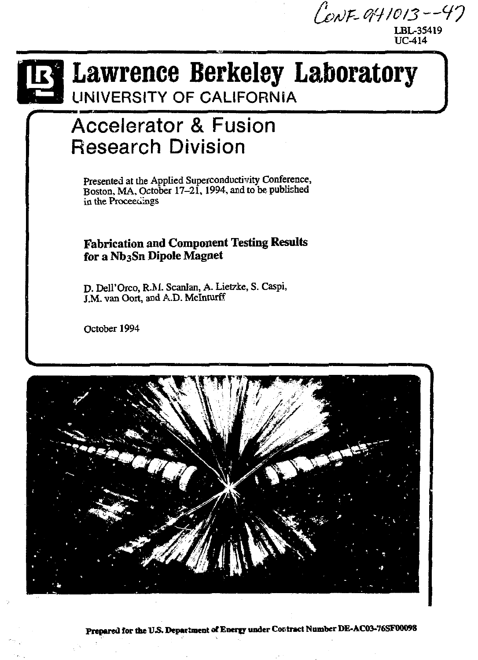CONF-941013--47 LBL-35419





# **Lawrence Berkeley Laboratory**  UNIVERSITY OF CALIFORNIA

# Accelerator & Fusion Research Division

Presented at the Applied Superconductivity Conference, Boston, MA, October 17-21,1994, and to be published in the Proceeciings

# **Fabrication and Component Testing Results for a Nb3Sn Dipole Magnet**

D. Dell'Orco, R.M. Scanlan, A. Lietzke, S. Caspi, J.M. van Oort, and A.D. Mclnturff

October 1994



Prepared for the U.S. Department of Energy under Contract Number DE-AC03-76SF00098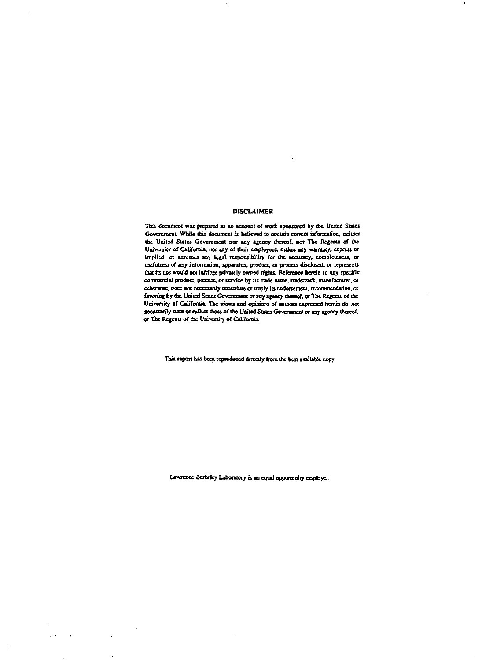# DISCLAIMER

This document was prepared as an account of work sponsored by the United States Government. While this document *is* believed to ccwuja correct information, neither tbe United States Government nor any agency thereof, nor Tbe Regents of the University of California, nor any of their employees, makes any warranty, express or implied, or assumes any legal responsibility for the accuracy, completeness, or usefulness of any information, apparatus, product, or process disclosed, or represents that its use would not infringe privately owned rights. Reference herein to any specific commercial product, process, or service by its trade name, trademark, manufacturer, oc otherwise, ones not necessarily constitute or imply its codoncmeat. rexommendatioo, or favoring by the United States Government or any agency thereof, or The Regents of (be University of California. The views and opinion of authors expressed herein do not oecessarily state or reflect those of the United States Govemmeaf or any agency thereof. or The Regents of tbe University of California.

This report has been reproduced directly from the best available copy

Lawrence Serkriey Laboratory is an equal opportunity employer;

 $\sim 10^7$ 

 $\sim$ 

 $\sim$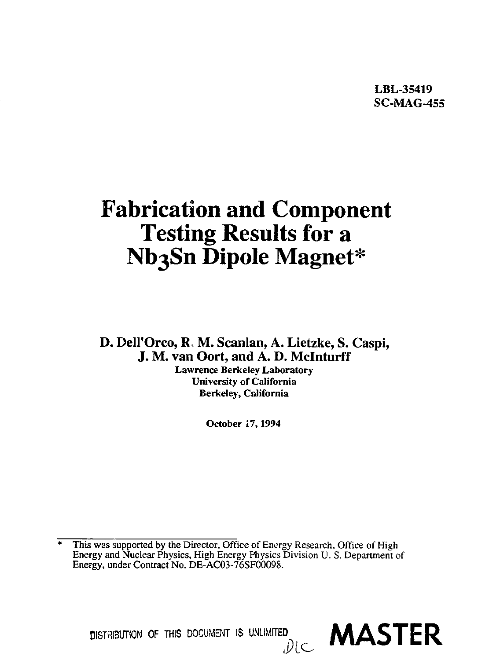LBL-35419 SC-MAG-455

# **Fabrication and Component Testing Results for a Nb3Sn Dipole Magnet\***

D. DeH'Orco, R, M. Scanlan, A. Lietzke, S. Caspi, J. M. van Oort, and A. D. Mclnturff

**Lawrence Berkeley Laboratory University of California Berkeley, California** 

**October 17,1994** 

This was supported by the Director, Office of Energy Research, Office of High Energy and Nuclear Physics, High Energy Physics Division *V.* S. Department of Energy, under Contract No. DE-AC03-76SF0009S.

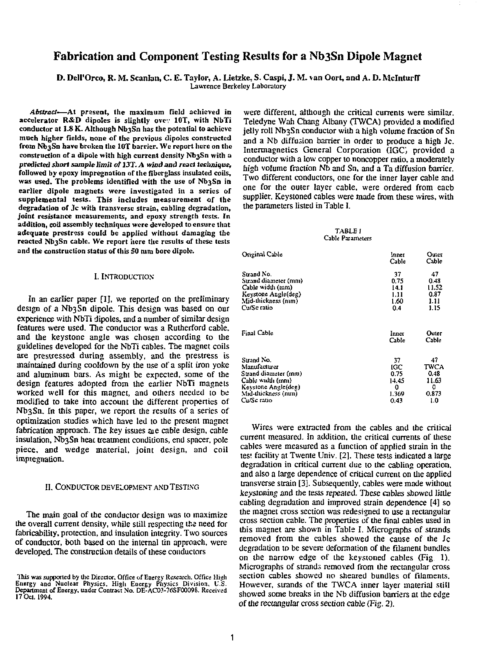# Fabrication and Component Testing Results for a Nb3Sn Dipole Magnet

D. Dell'Orco, R. M. Scanlan, C. E. Taylor, A. Lietzke, S. Caspi, J. M. van Oort, and A. D. Mclnturff Lawrence Berkeley Laboratory

*Abstract***—At present, the maximum field achieved in accelerator R&D dipoles is slightly ovev 10T, with NbTi**  conductor at 1.8 K. Although Nb3Sn has the potential to achieve **much higher fields, none of the previous dipoles constructed from Nb3Sn have broken the 10T barrier. We report here on the construction of a dipole with high current density Nb3Sn with a predicted** *short sample limit of 137. A wind* **and** *react technique,*  **followed by epoxy impregnation of the fiberglass insulated coils, was used. The problems identified with the use of Nb3Sn in earlier dipole magnets were investigated in a series of supplemental tests. This includes measurement of the degradation of Jc with transverse strain, cabling degradation, joint resistance measurements, and epoxy strength tests. In addition, coil assembly techniques were developed to ensure that adequate prestress could be applied without damaging the**  reacted Nb3Sn cable. We report here the results of these tests **and the construction status of this 50 mm bore dipole.** 

### I. INTRODUCTION

In an earlier paper [I], we reported on the preliminary design of a Nb3Sn dipole. This design was based on our experience with NbTi dipoles, and a number of similar design features were used. The conductor was a Rutherford cable, and the keystone angle was chosen according to ihe guidelines developed for the NbTi cables. The magnet coils are prestressed during assembly, and the prestress is maintained during cooldown by the use of a split iron yoke and aluminum bars. As might be expected, some of the design features adopted from the earlier NbTi magnets worked well for this magnet, and others needed to be modified to take into account the different properties of Nb3Sn. In this paper, we report the results of a series of optimization studies which have led to the present magnet fabrication approach. The key issues are cable design, cable insulation, Nb3Sn heat treatment conditions, end spacer, pole piece, and wedge material, joint design, and coil impregnation.

## II. CONDUCTOR DEVELOPMENT ANDTESTING

The main goal of the conductor design was to maximize the overall current density, while still respecting the need for fabricability, protection, and insulation integrity. Two sources of conductor, both based on die internal tin approach, were developed. The construction details of these conductors

were different, although the critical currents were similar. Teledyne Wah Chang Albany (TWCA) provided a modified jelly roll Nb3Sn conductor with a high volume fraction of Sn and a Nb diffusion barrier in order to produce a high Jc. Intermagnetics General Corporation (IGC, provided a conductor with a low' copper to noncopper ratio, a moderately high volume fraction Nb and Sn, and a Ta diffusion barrier. Two different conductors, one for the inner layer cable and one for the outer layer cable, were ordered from each supplier. Keystoned cables were made from these wires, with the parameters listed in Table I.

### TABLEI Cable Parameters

| Original Cable       | Innet<br>Cable | Outer<br>Cable |
|----------------------|----------------|----------------|
| Strand No.           | 37             | 47             |
| Strand diameter (mm) | 0.75           | 0.43           |
| Cable width (mm)     | 14.1           | 11.52          |
| Keystone Angle(deg)  | 1.11           | 0.87           |
| Mid-thickness (nim)  | 1.60           | 1.11           |
| Cu/Se ratio          | 0.4            | 1.15           |
| Final Cable          | Inner<br>Cable | Outer<br>Cable |
| Strand No.           | 37             | 47             |
| Manufacturer         | IGC            | TWCA           |
| Strand diameter (mm) | 0.75           | 0.48           |
| Cable width (mm)     | 14.45          | 11.63          |
| Keystone Angle(deg)  | 0              | o              |
| Mid-thickness (nim)  | 1.369          | 0.873          |
| Cu/Sc ratio          | 0.43           | 1.0            |

Wires were extracted from the cables and the critical current measured. In addition, the critical currents of these cables were measured as a function of applied strain in the tes'. facility at Twente Univ. [2]. These tests indicated a large degradation in critical current due to the cabling operation, and also a large dependence of critical current on die applied transverse strain [3], Subsequendy, cables were made wimout *kcyssosung* and the tests repealed. These cables showed little cabling degradation and improved strain dependence [4] so the magnet cross section was redesigned to use a rectangular cross section cable. The properties of the final cables used in Ulis magnet are shown in Table I. Micrographs of strands removed from the cables showed the cause of the Jc degradation to be severe deformation of the filament bundles on the narrow edge of the keystoned cables (Fig 1). Micrographs of strands removed from the rectangular cross section cables showed no sheared bundles of filaments. However, strands of the TWCA inner layer material still showed some breaks in the Nb diffusion barriers at the edge of die rectangular cross section cable (Fig. 2).

This was supported by the Director. Office of Energy Research. Office High<br>Energy and "Nuclear Physics, "High Energy Physics Division, U.S.<br>Department of Energy, under Contract No. DE-AC03-76SF00098. Received **17 0a.** 1994.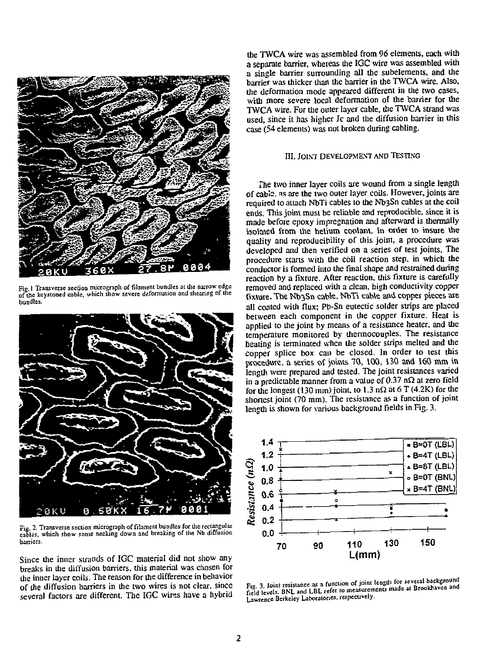

**Fig. 1 Transverse section micrograph of filament bundles al die narrow edge of ijie keystoned cable, which show severe deformation and shearing of die bundles.** 



**Fig. 2. Transverse section micrograph of filament bundles for the rectangular cables, which show some necking down and breaking of the Nb diffusion barriers.** 

Since the inner strands of IGC material did not show any breaks in the diffusion barriers, this material was chosen for die inner layer coils. The reason for die difference in behavior of the diffusion barriers in the two wires is not clear, since several factors are different. The IGC wires have a hybrid

the TWCA wire was assembled from 96 elements, each with a senarate barrier, whereas the IGC wire was assembled with a single barrier surrounding all the subelements, and the barrier was thicker than the barrier in the TWCA wire. Also, the deformation mode appeared different in die two cases, with more severe local deformation of the barrier for the TWCA wire. For the outer layer cable, the TWCA strand was used, since it has higher Jc and die diffusion barrier in this case (54 elements) was not broken during cabling.

# **III. JOINT DEVELOPMENT AND TESTING**

The two inner layer coils are wound from a single length of cable, ns are the two outer layer coils. However, joints are required to attach NbTi cables to the Nb3Sn cables at the coil ends. This joint must be reliable and reproducible, since it is made before epoxy impregnation and afterward is thermally isolated ftom the helium coolant. In order to insure the quality and reproducibility of this joint, a procedure was developed and then verified on a series of test joints. The procedure starts widi the coil reaction step, in which the conductor is formed into the final shape and restrained during reaction by a fixture. After reaction, this fixture is carefully removed and replaced with a clean, high conductivity copper fixture. The Nb3Sn cable, NbTi cable and copper pieces are all coated with flux; Pb-Sn eutectic solder strips are placed between each component in the copper fixture. Heat is applied to the joint by means of a resistance heater, and the temperature monitored by diermocouples. The resistance heating is terminated when the solder strips melted and the copper splice box can be closed. In order to test this procedure, a series of joints 70, 100, 130 and 160 mm in length were prepared and tested. The joint resistances varied in a predictable manner from a value of  $0.37 \text{ n}\Omega$  at zero field for the longest (130 mm) joint, to 1.3 n $\Omega$  at 6 T (4.2K) for the shortest joint (70 mm). The resistance as a function of joint length is shown for various background fields in Fig. 3.



Fig. 3. Joint resistance as a function of joint length for several dackground **Lawrence Berkeley Laboratories, respectively.**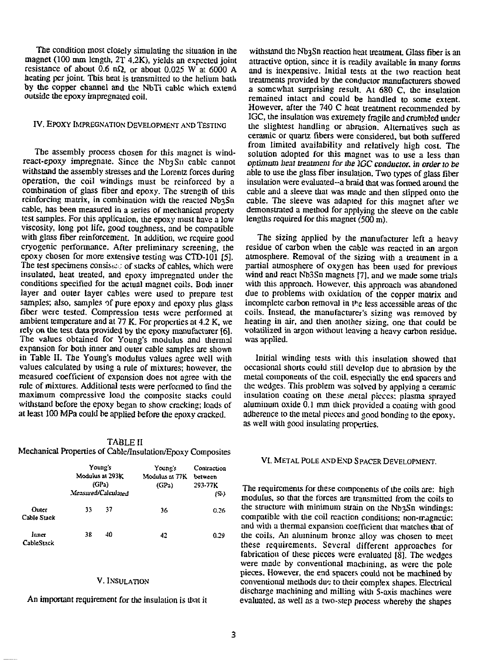The condition most closely simulating the situation in the withstand the Nb3Sn reaction heat treatment. Glass fiber is an magnet (100 mm length, 2T 4.2K), yields an expected joint attractive ontion, since it is readily av

react-epoxy impregnate. Since the NbjSn cable cannot optimum heat treatment *for* the *]GC conductor,* in *order* to *be*  withstand the assembly stresses and the Lorentz forces during able to use the glass fiber insulation. Two types of glass fiber<br>operation, the coil windings must be reinforced by a insulation were evaluated-a braid that was operation, the coil windings must be reinforced by a insulation were evaluated-a braid that was formed around the combination of glass fiber and epoxy. The strength of this cable and a sleeve that was made and then slimed combination of glass fiber and epoxy. The strength of this cable and a sleeve that was made and then slipped onto the rejection of the magnet of the magnet of the we reinforcing matrix, in combination with the reacted Nb3Sn cable. The sleeve was adapted for this magnet after we cable, has been measured in a series of mechanical property demonstrated a method for applying the sleeve on test samples. For this application, the epoxy must have a low viscosity, long pot life, good toughness, and be compatible with glass fiber reinforcement. In addition, we require good The sizing applied by the manufacturer left a heavy<br>cryogenic performance. After preliminary screening, the residue of carbon when the cable was reacted in an ar cryogenic performance. After preliminary screening, the residue of carbon when the cable was reacted in an argon<br>epoxy chosen for more extensive testing was CTD-101 [5]. atmosphere. Removal of the sizing with a treatment i epoxy chosen for more extensive testing was CTD-101 [5]. atmosphere. Removal of the sizing with a treatment in a treatment in a treatment of states of stacks of cables, which were partial atmosphere of oxygen has been used The test specimens consistered is ackeded solles, which were partial atmosphere of oxygen has been used for previous insulated, and enoxy impreenated under the wind and react Nb3Sn magnets [7], and we made some trials insulated, heat treated, and epoxy impregnated under the wind and react Nb3Sn magnets [7], and we made some trials conditions specified for the actual magnet coils. Bod inner with this approach. However, this approach was conditions specified for the actual magnet coils. Bodi inner with this approach. However, this approach was abandoned layer cables were used to prepare test due to problems with oxidation of the copper matrix and layer and outer layer cables were used to prepare test due to problems with oxidation of the copper matrix and<br>samples; also, samples of pure epoxy and epoxy plus glass incomplete carbon removal in the less accessible area samples; also, samples of pure epoxy and epoxy plus glass incomplete carbon removal in the less accessible areas of the fiber were tested. Compression tests were performed at coils. Instead, the manufacturer's sizing was r fiber were tested. Compression tests were performed at coils. Instead, the manufacturer's sizing was removed by ambient temperature and at 77 K. For properties at  $4.2$  K, we heating in air, and then another sizing, one t ambient temperature and at  $\overline{77}$  K. For properties at 4.2 K, we heating in air, and then another sizing, one that could be rely on the test data provided by the epoxy manufacturer [6]. volatilized in argon without lea The values obtained for Young's modulus and thermal expansion for both inner and outer cable samples are shown<br>in Table II. The Young's modulus values agree well with in Table II. The Young's modulus values agree well with Initial winding tests with this insulation showed that values calculated by using a rule of mixtures; however, the occasional shorts could still develop due to abrasi values calculated by using a rule of mixtures; however, the occasional shorts could still develop due to abrasion by the measured coefficient of expansion does not agree with the metal components of the coil, especially th measured coefficient of expansion does not agree with the metal components of the coil, especially the end spacers and rule of mixtures. Additional tests were performed to find the the wedges. This problem was solved by ap maximum compressive load the composite stacks could withstand before the epoxy began to show cracking: loads of withstand before the epoxy began to show cracking; loads of aluminum oxide 0.1 mm thick provided a coating with good<br>at least 100 MPa could be applied before the enoxy cracked. adherence to the metal pieces and good bondin

### TABLE II

Mechanical Properties of Cable/Insulation/Epoxy Composites

|                      | Young's<br>Modulus at 293K<br>(GPa)<br>Measured/Calculated |    | Young's<br>Modulus at 77K<br>(GPa) | Contraction<br>between<br>293-77K<br>(2) |
|----------------------|------------------------------------------------------------|----|------------------------------------|------------------------------------------|
| Outer<br>Cable Stack | 33                                                         | 37 | 36                                 | 0.26                                     |
| Inner<br>CableStack  | 38                                                         | 40 | 42                                 | 0.29                                     |

## **V. INSULATION**

An important requirement for the insulation is that it

magnet (100 mm length, 2T 4.2K), yields an expected joint attractive option, since it is readily available in many forms<br>resistance of about 0.6 nS<sub>k</sub> or about 0.025 W at 6000 A and is inexpensive. Initial tests at the tw resistance of about 0.6 n $\Omega$ , or about 0.025 W at 6000 A and is inexpensive. Initial tests at the two reaction heat heating per joint. This heat is transmitted to the helium hall treatments provided by the conductor manu heating per joint. This heat is transmitted to the helium bath treatments provided by the conductor manufacturers showed<br>by the conner channel and the NbTi cable which extend a somewhat surprising result At 680 C, the ins by the copper channel and the NbTi cable which extend a somewhat surprising result. At 680 C, the insulation outside the epoxy impreenated coil. remained intact and could be handled to some extent. However, after the 740 C heat treatment recommended by IGC, die insulation was extremely fragile and crumbled under IV. EPOXY IMPREGNATION DEVELOPMENT AND TESTING the slightest handling or abrasion. Alternatives such as ceramic or quartz fibers were considered, but bom suffered from limited availability and relatively high cost. The The assembly process chosen for this magnet is wind-<br>react-epoxy impregnate. Since the Nb3Sn cable cannot continuum heat treatment for the IGC conductor in order to be demonstrated a method for applying the sleeve on the cable<br>lengths required for this magnet  $(500 \text{ m})$ .

volatilized in argon without leaving a heavy carbon residue.<br>was argolied.

the wedges. This problem was solved by applying a ceramic insulation coating on these metal pieces: plasma sprayed adherence to the metal pieces and good bonding to the epoxy. as well widi good insulating properties.

# VI. METAL POLE ANDEND SPACER DEVELOPMENT.

The requirements for these components of the coils are: high modulus, so that the forces are transmitted from the coils to die structure with minimum strain on die Nb3Sn windings: compatible with the coil reaction conditions; non-magnetic: and widi a thermal expansion coefficient diat matches dial of die coils. An aluminum bronze alloy was chosen to meet these requirements. Several different approaches for fabrication of these pieces were evaluated [8]. The wedges were made by conventional machining, as were die pole pieces. However, die end spacers could nol be machined by conventional methods due to their complex shapes. Electrical discharge machining and milling with 5-axis machines were evaluated, as well as a two-step process whereby die shapes